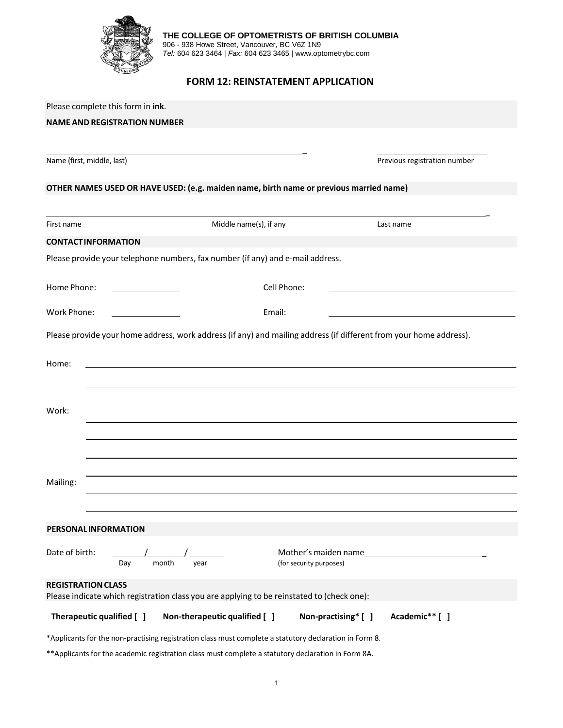

**THE COLLEGE OF OPTOMETRISTS OF BRITISH COLUMBIA** 906 - 938 Howe Street, Vancouver, BC V6Z 1N9

*Tel:* 604 623 3464 | *Fax:* 604 623 3465 | www.optometrybc.com

# **FORM 12: REINSTATEMENT APPLICATION**

| Please complete this form in ink.<br><b>NAME AND REGISTRATION NUMBER</b>                                                |                                                                                                                       |                                                                                                                    |  |  |  |
|-------------------------------------------------------------------------------------------------------------------------|-----------------------------------------------------------------------------------------------------------------------|--------------------------------------------------------------------------------------------------------------------|--|--|--|
|                                                                                                                         |                                                                                                                       |                                                                                                                    |  |  |  |
| Name (first, middle, last)                                                                                              |                                                                                                                       | Previous registration number                                                                                       |  |  |  |
| OTHER NAMES USED OR HAVE USED: (e.g. maiden name, birth name or previous married name)                                  |                                                                                                                       |                                                                                                                    |  |  |  |
| First name                                                                                                              | Middle name(s), if any                                                                                                | Last name                                                                                                          |  |  |  |
| <b>CONTACTINFORMATION</b>                                                                                               |                                                                                                                       |                                                                                                                    |  |  |  |
| Please provide your telephone numbers, fax number (if any) and e-mail address.                                          |                                                                                                                       |                                                                                                                    |  |  |  |
| Home Phone:<br>Cell Phone:                                                                                              |                                                                                                                       |                                                                                                                    |  |  |  |
| Work Phone:                                                                                                             | Email:                                                                                                                |                                                                                                                    |  |  |  |
|                                                                                                                         |                                                                                                                       | Please provide your home address, work address (if any) and mailing address (if different from your home address). |  |  |  |
| Home:                                                                                                                   | <u>and the state of the state of the state of the state of the state of the state of the state of the state of th</u> |                                                                                                                    |  |  |  |
| Work:                                                                                                                   |                                                                                                                       |                                                                                                                    |  |  |  |
| Mailing:                                                                                                                |                                                                                                                       |                                                                                                                    |  |  |  |
| <b>PERSONAL INFORMATION</b>                                                                                             |                                                                                                                       |                                                                                                                    |  |  |  |
| Date of birth:<br>month<br>Day                                                                                          | (for security purposes)<br>vear                                                                                       | Mother's maiden name                                                                                               |  |  |  |
| <b>REGISTRATION CLASS</b><br>Please indicate which registration class you are applying to be reinstated to (check one): |                                                                                                                       |                                                                                                                    |  |  |  |
| Therapeutic qualified [ ]                                                                                               | Non-therapeutic qualified [ ]                                                                                         | Non-practising* [ ]<br>Academic** [ ]                                                                              |  |  |  |
| *Applicants for the non-practising registration class must complete a statutory declaration in Form 8.                  |                                                                                                                       |                                                                                                                    |  |  |  |
| ** Applicants for the academic registration class must complete a statutory declaration in Form 8A.                     |                                                                                                                       |                                                                                                                    |  |  |  |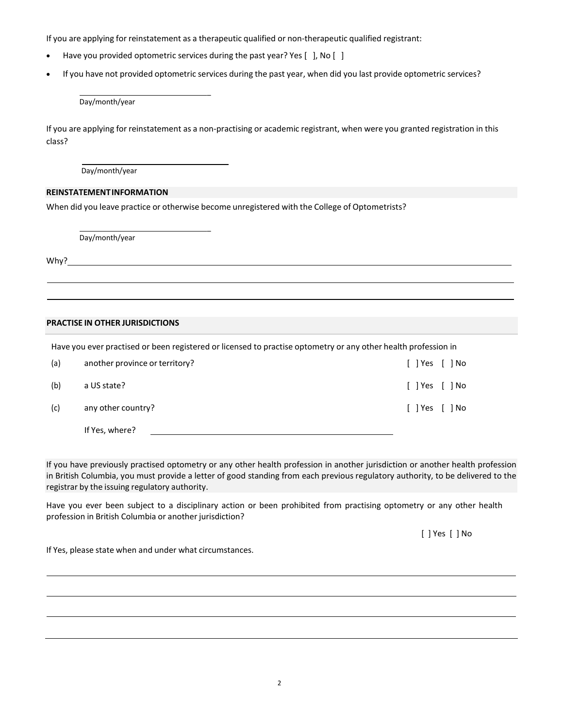If you are applying for reinstatement as a therapeutic qualified or non-therapeutic qualified registrant:

• Have you provided optometric services during the past year? Yes [ ], No [ ]

 $\overline{a}$ 

• If you have not provided optometric services during the past year, when did you last provide optometric services?

Day/month/year

If you are applying for reinstatement as a non-practising or academic registrant, when were you granted registration in this class?

Day/month/year

## **REINSTATEMENTINFORMATION**

When did you leave practice or otherwise become unregistered with the College of Optometrists?

 $\overline{a}$ 

Day/month/year

Why?

## **PRACTISE IN OTHER JURISDICTIONS**

Have you ever practised or been registered or licensed to practise optometry or any other health profession in

| (a) | another province or territory? | $[$ $]$ Yes $[$ $]$ No |
|-----|--------------------------------|------------------------|
| (b) | a US state?                    | $[$ ] Yes $[$ ] No     |
| (c) | any other country?             | $[$ ] Yes $[$ ] No     |
|     | If Yes. where?                 |                        |

If you have previously practised optometry or any other health profession in another jurisdiction or another health profession in British Columbia, you must provide a letter of good standing from each previous regulatory authority, to be delivered to the registrar by the issuing regulatory authority.

Have you ever been subject to a disciplinary action or been prohibited from practising optometry or any other health profession in British Columbia or another jurisdiction?

[ ] Yes [ ] No

If Yes, please state when and under what circumstances.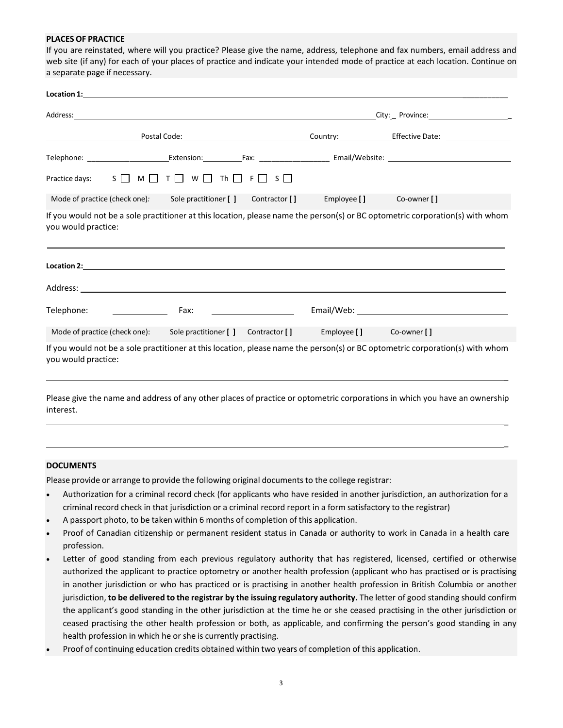#### **PLACES OF PRACTICE**

If you are reinstated, where will you practice? Please give the name, address, telephone and fax numbers, email address and web site (if any) for each of your places of practice and indicate your intended mode of practice at each location. Continue on a separate page if necessary.

| Practice days: $S \square M \square T \square W \square Th \square F \square S \square$ |                                                                |  |                         |                                                                                                                               |  |
|-----------------------------------------------------------------------------------------|----------------------------------------------------------------|--|-------------------------|-------------------------------------------------------------------------------------------------------------------------------|--|
| Mode of practice (check one):                                                           | Sole practitioner [ ] Contractor [ ] Employee [ ] Co-owner [ ] |  |                         |                                                                                                                               |  |
| you would practice:                                                                     |                                                                |  |                         | If you would not be a sole practitioner at this location, please name the person(s) or BC optometric corporation(s) with whom |  |
|                                                                                         |                                                                |  |                         |                                                                                                                               |  |
|                                                                                         |                                                                |  |                         |                                                                                                                               |  |
| Telephone:                                                                              | Fax:                                                           |  |                         |                                                                                                                               |  |
| Mode of practice (check one): Sole practitioner [ ] Contractor [ ]                      |                                                                |  | Employee [] Co-owner [] |                                                                                                                               |  |
| you would practice:                                                                     |                                                                |  |                         | If you would not be a sole practitioner at this location, please name the person(s) or BC optometric corporation(s) with whom |  |
|                                                                                         |                                                                |  |                         |                                                                                                                               |  |

Please give the name and address of any other places of practice or optometric corporations in which you have an ownership interest.

 $\overline{a}$ 

 $\overline{a}$ 

#### **DOCUMENTS**

Please provide or arrange to provide the following original documents to the college registrar:

- Authorization for a criminal record check (for applicants who have resided in another jurisdiction, an authorization for a criminal record check in that jurisdiction or a criminal record report in a form satisfactory to the registrar)
- A passport photo, to be taken within 6 months of completion of this application.
- Proof of Canadian citizenship or permanent resident status in Canada or authority to work in Canada in a health care profession.
- Letter of good standing from each previous regulatory authority that has registered, licensed, certified or otherwise authorized the applicant to practice optometry or another health profession (applicant who has practised or is practising in another jurisdiction or who has practiced or is practising in another health profession in British Columbia or another jurisdiction, **to be delivered to the registrar by the issuing regulatory authority.** The letter of good standing should confirm the applicant's good standing in the other jurisdiction at the time he or she ceased practising in the other jurisdiction or ceased practising the other health profession or both, as applicable, and confirming the person's good standing in any health profession in which he or she is currently practising.
- Proof of continuing education credits obtained within two years of completion of this application.